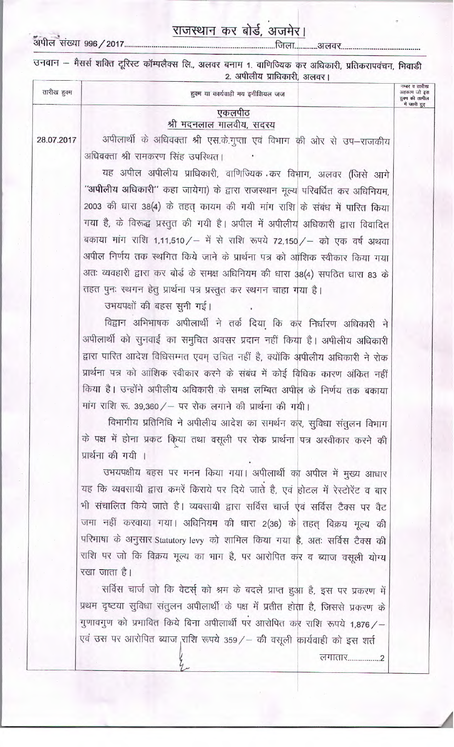## राजस्थान कर बोर्ड, अजमेर।

उनवान – मैसर्स शक्ति टूरिस्ट कॉम्पलैक्स लि., अलवर बनाम 1. वाणिज्यिक कर अधिकारी, प्रतिकरापवंचन, भिवाडी

| तारीख हुक्म | हुक्म या कार्यवाही मय इनीशियल जज                                                  | नम्बर व तारीख<br>अहकाम जो इस<br>हुक्म की तामील |
|-------------|-----------------------------------------------------------------------------------|------------------------------------------------|
|             | एकलपीठ                                                                            | में जारी हुए                                   |
|             | श्री मदनलाल मालवीय, सदस्य                                                         |                                                |
| 28.07.2017  | अपीलार्थी के अधिवक्ता श्री एस.के.गुप्ता एवं विभाग की ओर से उप-राजकीय              |                                                |
|             | अधिवक्ता श्री रामकरण सिंह उपस्थित।                                                |                                                |
|             | यह अपील अपीलीय प्राधिकारी, वाणिज्यिक कर विभाग, अलवर (जिसे आगे                     |                                                |
|             | "अपीलीय अधिकारी" कहा जायेगा) के द्वारा राजस्थान मूल्य परिवर्धित कर अधिनियम,       |                                                |
|             | 2003 की धारा 38(4) के तहत् कायम की गयी मांग राशि के संबंध में पारित किया          |                                                |
|             | गया है, के विरूद्ध प्रस्तुत की गयी है। अपील में अपीलीय अधिकारी द्वारा विवादित     |                                                |
|             | बकाया मांग राशि 1,11,510 / - में से राशि रूपये 72,150 / - को एक वर्ष अथवा         |                                                |
|             | अपील निर्णय तक स्थगित किये जाने के प्रार्थना पत्र को आंशिक स्वीकार किया गया       |                                                |
|             | अतः व्यवहारी द्वारा कर बोर्ड के समक्ष अधिनियम की धारा 38(4) सपठित धारा 83 के      |                                                |
|             | तहत पुनः स्थगन हेतु प्रार्थना पत्र प्रस्तुत कर स्थगन चाहा गया है।                 |                                                |
|             | उभयपक्षों की बहस सुनी गई।                                                         |                                                |
|             | विद्वान अभिभाषक अपीलार्थी ने तर्क दिया कि कर निर्धारण अधिकारी ने                  |                                                |
|             | अपीलार्थी को सुनवाई का समुचित अवसर प्रदान नहीं किया है। अपीलीय अधिकारी            |                                                |
|             | द्वारा पारित आदेश विधिसम्मत एवम् उचित नहीं है, क्योंकि अपीलीय अधिकारी ने रोक      |                                                |
|             | प्रार्थना पत्र को आंशिक स्वीकार करने के संबंध में कोई बिधिक कारण अंकित नहीं       |                                                |
|             | किया है। उन्होंने अपीलीय अधिकारी के समक्ष लम्बित अपील के निर्णय तक बकाया          |                                                |
|             | मांग राशि रू. 39,360 / - पर रोक लगाने की प्रार्थना की गयी।                        |                                                |
|             | विभागीय प्रतिनिधि ने अपीलीय आदेश का समर्थन कर, सुविधा संतुलन विभाग                |                                                |
|             | के पक्ष में होना प्रकट किया तथा वसूली पर रोक प्रार्थना पत्र अस्वीकार करने की      |                                                |
|             | प्रार्थना की गयी ।                                                                |                                                |
|             | उभयपक्षीय बहस पर मनन किया गया। अपीलार्थी का अपील में मुख्य आधार                   |                                                |
|             | यह कि व्यवसायी द्वारा कमरें किराये पर दिये जाते है, एवं होटल में रेस्टोरेंट व बार |                                                |
|             | भी संचालित किये जाते है। व्यवसायी द्वारा सर्विस चार्ज एवं सर्विस टैक्स पर वैट     |                                                |
|             | जमा नहीं करवाया गया। अधिनियम की धारा 2(36) के तहत् विक्रय मूल्य की                |                                                |
|             | परिभाषा के अनुसार Statutory levy को शामिल किया गया है, अतः सर्विस टैक्स की        |                                                |
|             | राशि पर जो कि विक्रय मूल्य का भाग है, पर आरोपित कर व ब्याज वसूली योग्य            |                                                |
|             | रखा जाता है।                                                                      |                                                |
|             | सर्विस चार्ज जो कि वेटर्स् को श्रम के बदले प्राप्त हुआ है, इस पर प्रकरण में       |                                                |
|             | प्रथम दृष्टया सुविधा संतुलन अपीलार्थी के पक्ष में प्रतीत होता है, जिससे प्रकरण के |                                                |
|             | गुणावगुण को प्रभावित किये बिना अपीलार्थी पर आरोपित कर राशि रूपये 1,876 / -        |                                                |
|             | एवं उस पर आरोपित ब्याज, राशि रूपये 359 / - की वसूली कार्यवाही को इस शर्त          |                                                |
|             |                                                                                   |                                                |
|             |                                                                                   |                                                |